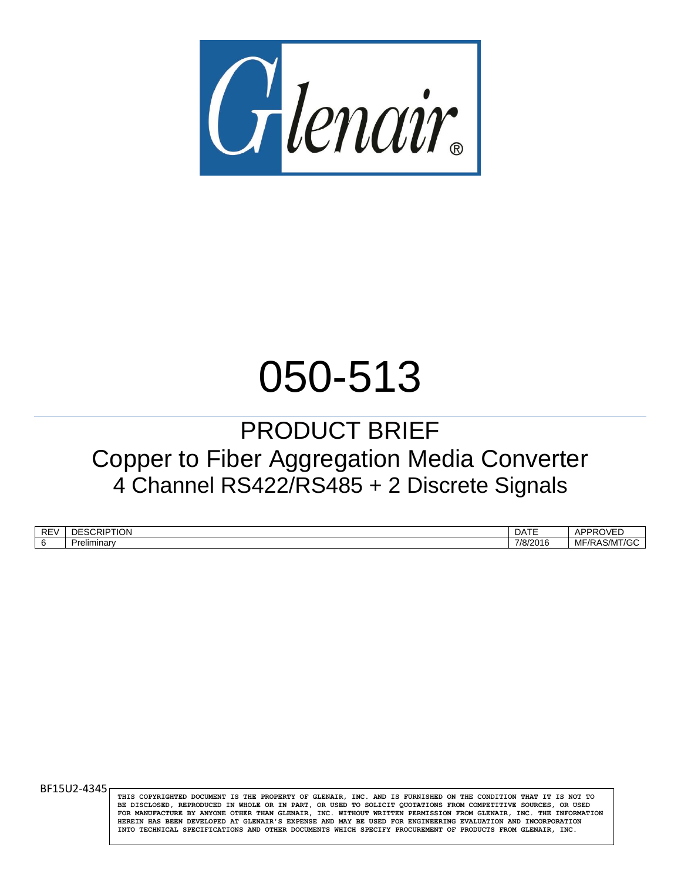

# 050-513

# PRODUCT BRIEF Copper to Fiber Aggregation Media Converter 4 Channel RS422/RS485 + 2 Discrete Signals

| RF<br>∼ | …RIP™<br>DE<br>HON | $\sim$ $ -$<br>DAIL                   | -----<br>ים חרי<br>$\frac{1}{2}$<br>71   |
|---------|--------------------|---------------------------------------|------------------------------------------|
|         | Preliminary        | 7/8/<br>$\sim$ $\sim$<br>∘י∩י<br>סונט | $\sim$ $\mu$<br>МF<br>۱S/M<br>. <i>.</i> |

BF15U2-4345

**THIS COPYRIGHTED DOCUMENT IS THE PROPERTY OF GLENAIR, INC. AND IS FURNISHED ON THE CONDITION THAT IT IS NOT TO BE DISCLOSED, REPRODUCED IN WHOLE OR IN PART, OR USED TO SOLICIT QUOTATIONS FROM COMPETITIVE SOURCES, OR USED FOR MANUFACTURE BY ANYONE OTHER THAN GLENAIR, INC. WITHOUT WRITTEN PERMISSION FROM GLENAIR, INC. THE INFORMATION HEREIN HAS BEEN DEVELOPED AT GLENAIR'S EXPENSE AND MAY BE USED FOR ENGINEERING EVALUATION AND INCORPORATION INTO TECHNICAL SPECIFICATIONS AND OTHER DOCUMENTS WHICH SPECIFY PROCUREMENT OF PRODUCTS FROM GLENAIR, INC.**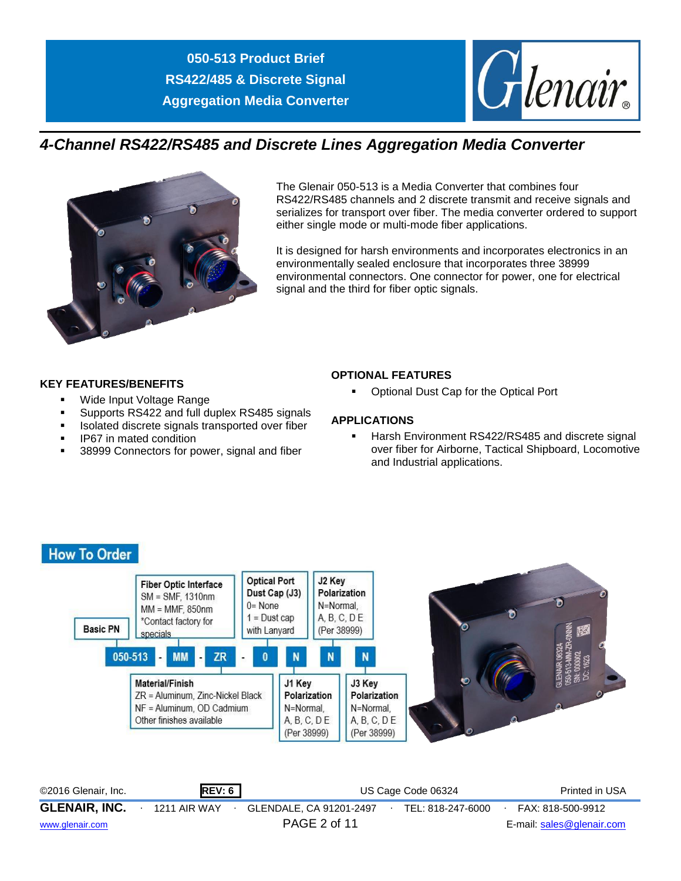

# *4-Channel RS422/RS485 and Discrete Lines Aggregation Media Converter*



The Glenair 050-513 is a Media Converter that combines four RS422/RS485 channels and 2 discrete transmit and receive signals and serializes for transport over fiber. The media converter ordered to support either single mode or multi-mode fiber applications.

It is designed for harsh environments and incorporates electronics in an environmentally sealed enclosure that incorporates three 38999 environmental connectors. One connector for power, one for electrical signal and the third for fiber optic signals.

#### **KEY FEATURES/BENEFITS**

- Wide Input Voltage Range
- **Supports RS422 and full duplex RS485 signals**
- Isolated discrete signals transported over fiber
- IP67 in mated condition
- 38999 Connectors for power, signal and fiber

#### **OPTIONAL FEATURES**

Optional Dust Cap for the Optical Port

#### **APPLICATIONS**

 Harsh Environment RS422/RS485 and discrete signal over fiber for Airborne, Tactical Shipboard, Locomotive and Industrial applications.

#### **How To Order Optical Port** J2 Key **Fiber Optic Interface** Dust Cap (J3) Polarization SM = SMF. 1310nm  $0 = None$ N=Normal.  $MM = MMF. 850nm$  $1 =$  Dust cap A. B. C. D E \*Contact factory for **Basic PN** with Lanyard (Per 38999) specials 050-513 **MM**  $\mathbf N$ N **ZR** n J1 Key Material/Finish J3 Key Polarization ZR = Aluminum, Zinc-Nickel Black Polarization NF = Aluminum, OD Cadmium N=Normal. N=Normal. Other finishes available A, B, C, D E A, B, C, D E (Per 38999) (Per 38999)

©2016 Glenair, Inc. **REV: 6** US Cage Code 06324 Printed in USA **GLENAIR, INC.** ∙ 1211 AIR WAY ∙ GLENDALE, CA 91201-2497∙ TEL: 818-247-6000∙ FAX: 818-500-9912 [www.glenair.com](http://www.glenair.com/) PAGE 2 of 11 E-mail: [sales@glenair.com](mailto:sales@glenair.com)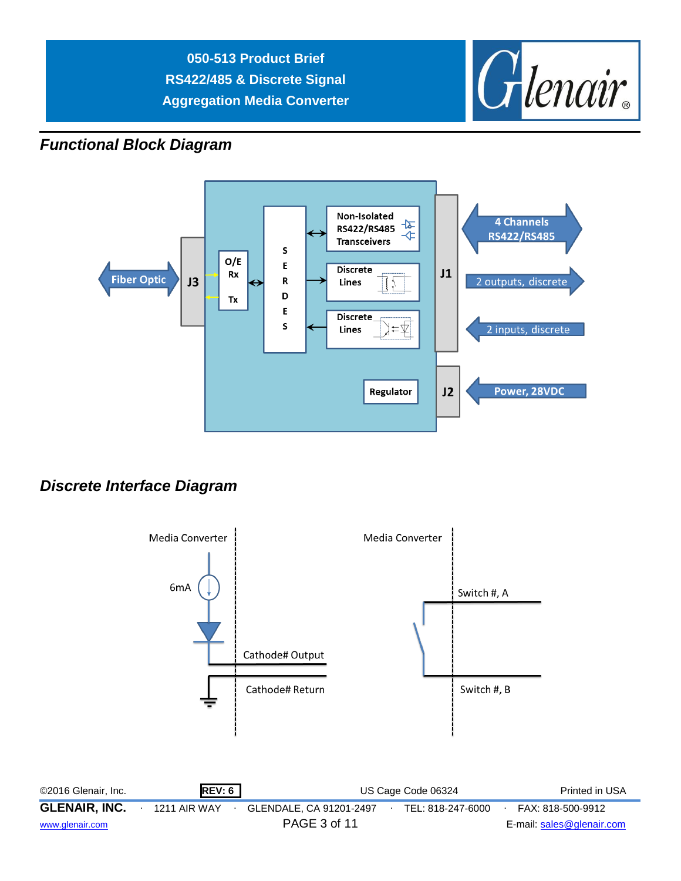

# *Functional Block Diagram*



# *Discrete Interface Diagram*

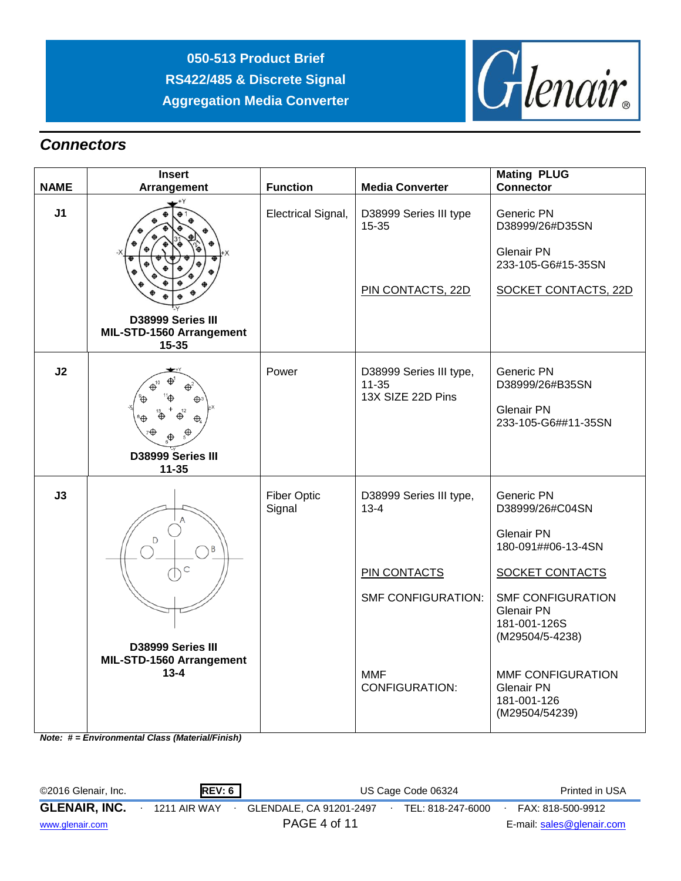

## *Connectors*

|                | <b>Insert</b>                                                            |                              |                                                                                                                                | <b>Mating PLUG</b>                                                                                                                                                                                                                       |
|----------------|--------------------------------------------------------------------------|------------------------------|--------------------------------------------------------------------------------------------------------------------------------|------------------------------------------------------------------------------------------------------------------------------------------------------------------------------------------------------------------------------------------|
| <b>NAME</b>    | Arrangement                                                              | <b>Function</b>              | <b>Media Converter</b>                                                                                                         | <b>Connector</b>                                                                                                                                                                                                                         |
| J <sub>1</sub> | D38999 Series III<br>MIL-STD-1560 Arrangement                            | Electrical Signal,           | D38999 Series III type<br>15-35<br>PIN CONTACTS, 22D                                                                           | Generic PN<br>D38999/26#D35SN<br><b>Glenair PN</b><br>233-105-G6#15-35SN<br>SOCKET CONTACTS, 22D                                                                                                                                         |
|                | $15 - 35$                                                                |                              |                                                                                                                                |                                                                                                                                                                                                                                          |
| J2             | D38999 Series III<br>$11 - 35$                                           | Power                        | D38999 Series III type,<br>$11 - 35$<br>13X SIZE 22D Pins                                                                      | Generic PN<br>D38999/26#B35SN<br><b>Glenair PN</b><br>233-105-G6##11-35SN                                                                                                                                                                |
| J3             | D<br>B<br>C<br>D38999 Series III<br>MIL-STD-1560 Arrangement<br>$13 - 4$ | <b>Fiber Optic</b><br>Signal | D38999 Series III type,<br>$13 - 4$<br><b>PIN CONTACTS</b><br><b>SMF CONFIGURATION:</b><br><b>MMF</b><br><b>CONFIGURATION:</b> | Generic PN<br>D38999/26#C04SN<br><b>Glenair PN</b><br>180-091##06-13-4SN<br>SOCKET CONTACTS<br><b>SMF CONFIGURATION</b><br><b>Glenair PN</b><br>181-001-126S<br>(M29504/5-4238)<br>MMF CONFIGURATION<br><b>Glenair PN</b><br>181-001-126 |
|                |                                                                          |                              |                                                                                                                                | (M29504/54239)                                                                                                                                                                                                                           |

*Note: # = Environmental Class (Material/Finish)*

| ©2016 Glenair, Inc.  | <b>REV: 6</b> |              | US Cage Code 06324      | Printed in USA    |  |                           |
|----------------------|---------------|--------------|-------------------------|-------------------|--|---------------------------|
| <b>GLENAIR, INC.</b> |               | 1211 AIR WAY | GLENDALE. CA 91201-2497 | TEL: 818-247-6000 |  | FAX: 818-500-9912         |
| www.glenair.com      |               |              | PAGE 4 of 11            |                   |  | E-mail: sales@glenair.com |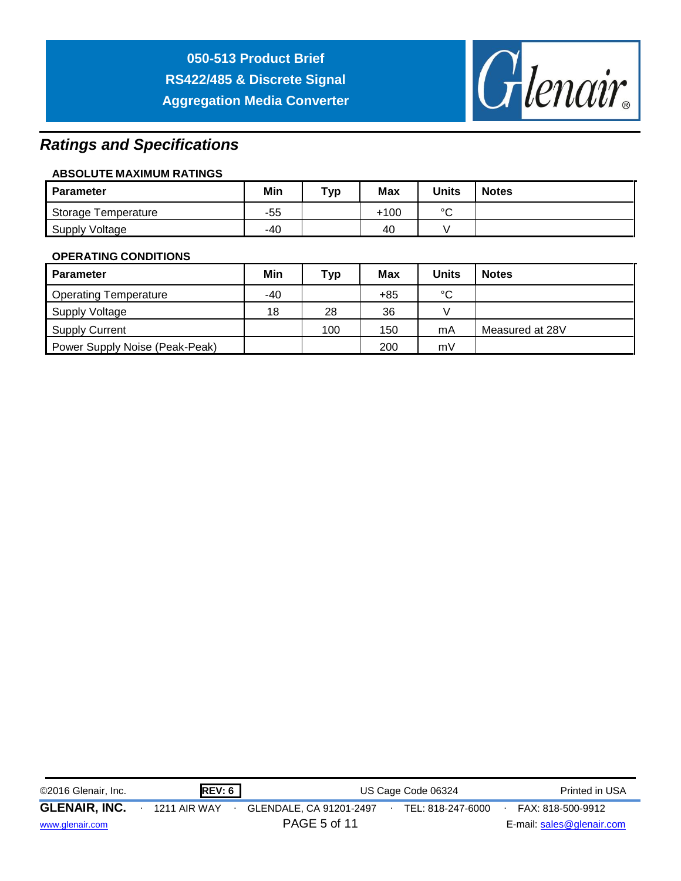

# *Ratings and Specifications*

#### **ABSOLUTE MAXIMUM RATINGS**

| <b>Parameter</b>    | Min | Тур | <b>Max</b> | <b>Units</b> | <b>Notes</b> |
|---------------------|-----|-----|------------|--------------|--------------|
| Storage Temperature | -55 |     | +100       | $\sim$       |              |
| Supply Voltage      | -40 |     | 40         |              |              |

#### **OPERATING CONDITIONS**

| Parameter                      | Min | <b>Typ</b> | Max   | Units        | <b>Notes</b>    |
|--------------------------------|-----|------------|-------|--------------|-----------------|
| <b>Operating Temperature</b>   | -40 |            | $+85$ | $\circ$<br>ັ |                 |
| Supply Voltage                 | 18  | 28         | 36    |              |                 |
| <b>Supply Current</b>          |     | 100        | 150   | mA           | Measured at 28V |
| Power Supply Noise (Peak-Peak) |     |            | 200   | mV           |                 |

| <b>REV: 6</b><br>©2016 Glenair, Inc. |  |              | US Cage Code 06324      | Printed in USA    |                           |
|--------------------------------------|--|--------------|-------------------------|-------------------|---------------------------|
| <b>GLENAIR, INC.</b>                 |  | 1211 AIR WAY | GLENDALE, CA 91201-2497 | TEL: 818-247-6000 | FAX: 818-500-9912         |
| www.glenair.com                      |  |              | PAGE 5 of 11            |                   | E-mail: sales@glenair.com |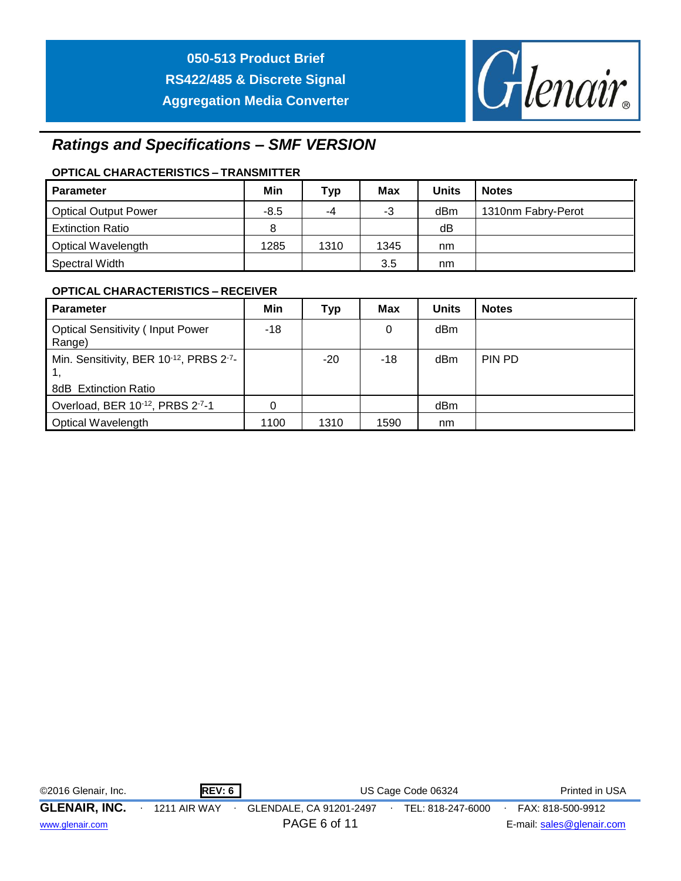

# *Ratings and Specifications – SMF VERSION*

#### **OPTICAL CHARACTERISTICS – TRANSMITTER**

| Parameter                   | Min    | <b>Typ</b> | Max  | Units | <b>Notes</b>       |
|-----------------------------|--------|------------|------|-------|--------------------|
| <b>Optical Output Power</b> | $-8.5$ | -4         | -3   | dBm   | 1310nm Fabry-Perot |
| <b>Extinction Ratio</b>     | 8      |            |      | dB    |                    |
| Optical Wavelength          | 1285   | 1310       | 1345 | nm    |                    |
| Spectral Width              |        |            | 3.5  | nm    |                    |

#### **OPTICAL CHARACTERISTICS – RECEIVER**

| <b>Parameter</b>                                               | Min  | <b>Typ</b> | Max  | <b>Units</b> | <b>Notes</b> |
|----------------------------------------------------------------|------|------------|------|--------------|--------------|
| <b>Optical Sensitivity (Input Power</b><br>Range)              | -18  |            | 0    | dBm          |              |
| Min. Sensitivity, BER 10-12, PRBS 2-7-<br>8dB Extinction Ratio |      | $-20$      | -18  | dBm          | PIN PD       |
|                                                                |      |            |      |              |              |
| Overload, BER 10-12, PRBS 2-7-1                                | 0    |            |      | dBm          |              |
| <b>Optical Wavelength</b>                                      | 1100 | 1310       | 1590 | nm           |              |

| ©2016 Glenair, Inc.  | REV: 6       |                         | US Cage Code 06324 |                           |  |  |  |  |
|----------------------|--------------|-------------------------|--------------------|---------------------------|--|--|--|--|
| <b>GLENAIR, INC.</b> | 1211 AIR WAY | GLENDALE, CA 91201-2497 | TEL: 818-247-6000  | FAX: 818-500-9912         |  |  |  |  |
| www.glenair.com      |              | PAGE 6 of 11            |                    | E-mail: sales@glenair.com |  |  |  |  |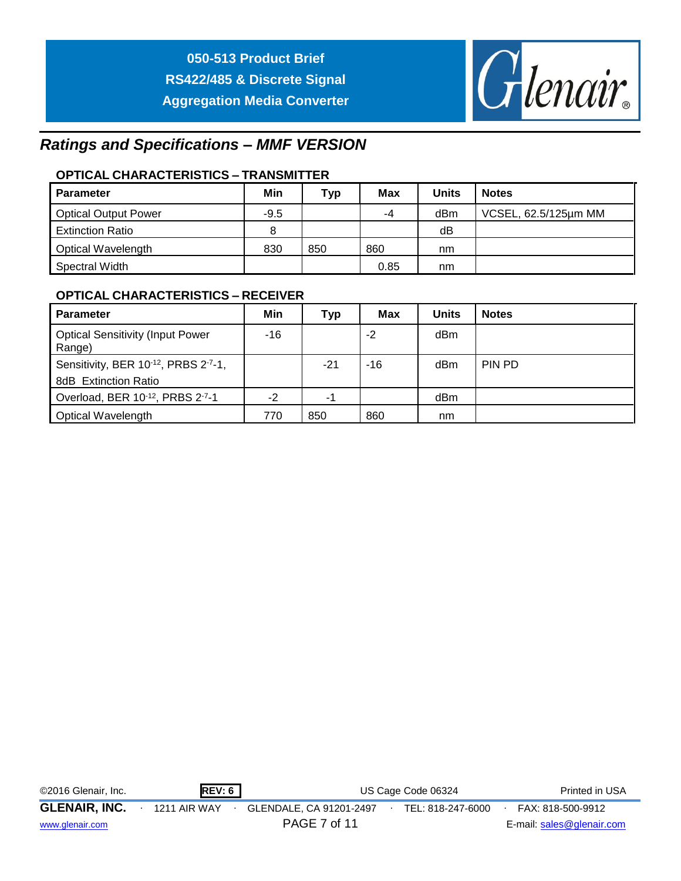

# *Ratings and Specifications – MMF VERSION*

### **OPTICAL CHARACTERISTICS – TRANSMITTER**

| <b>Parameter</b>            | Min    | Typ | <b>Max</b> | <b>Units</b> | <b>Notes</b>         |
|-----------------------------|--------|-----|------------|--------------|----------------------|
| <b>Optical Output Power</b> | $-9.5$ |     | -4         | dBm          | VCSEL, 62.5/125µm MM |
| <b>Extinction Ratio</b>     | 8      |     |            | dB           |                      |
| <b>Optical Wavelength</b>   | 830    | 850 | 860        | nm           |                      |
| Spectral Width              |        |     | 0.85       | nm           |                      |

#### **OPTICAL CHARACTERISTICS – RECEIVER**

| <b>Parameter</b>                                  | Min  | Тур | <b>Max</b> | <b>Units</b> | <b>Notes</b> |
|---------------------------------------------------|------|-----|------------|--------------|--------------|
| <b>Optical Sensitivity (Input Power</b><br>Range) | -16  |     | $-2$       | dBm          |              |
| Sensitivity, BER 10-12, PRBS 2-7-1,               |      | -21 | $-16$      | dBm          | PIN PD       |
| <b>8dB</b> Extinction Ratio                       |      |     |            |              |              |
| Overload, BER 10-12, PRBS 2-7-1                   | $-2$ | -1  |            | dBm          |              |
| Optical Wavelength                                | 770  | 850 | 860        | nm           |              |

| ©2016 Glenair, Inc.  | <b>REV: 6</b> |                         | US Cage Code 06324 |                           |  |  |  |  |
|----------------------|---------------|-------------------------|--------------------|---------------------------|--|--|--|--|
| <b>GLENAIR, INC.</b> | 1211 AIR WAY  | GLENDALE, CA 91201-2497 | TEL: 818-247-6000  | FAX: 818-500-9912         |  |  |  |  |
| www.glenair.com      |               | PAGE 7 of 11            |                    | E-mail: sales@glenair.com |  |  |  |  |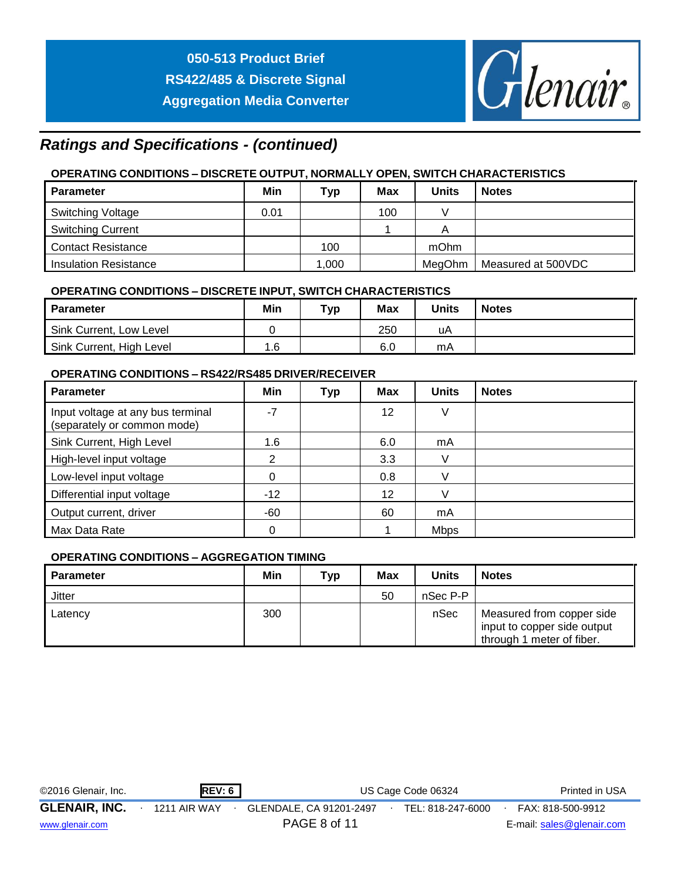

# *Ratings and Specifications - (continued)*

### **OPERATING CONDITIONS – DISCRETE OUTPUT, NORMALLY OPEN, SWITCH CHARACTERISTICS**

| <b>Parameter</b>             | Min  | <b>Typ</b> | <b>Max</b> | <b>Units</b> | <b>Notes</b>       |
|------------------------------|------|------------|------------|--------------|--------------------|
| <b>Switching Voltage</b>     | 0.01 |            | 100        |              |                    |
| <b>Switching Current</b>     |      |            |            |              |                    |
| <b>Contact Resistance</b>    |      | 100        |            | mOhm         |                    |
| <b>Insulation Resistance</b> |      | 1,000      |            | MeaOhm       | Measured at 500VDC |

#### **OPERATING CONDITIONS – DISCRETE INPUT, SWITCH CHARACTERISTICS**

| <b>Parameter</b>         | Min | Тур | <b>Max</b> | <b>Units</b> | <b>Notes</b> |
|--------------------------|-----|-----|------------|--------------|--------------|
| Sink Current, Low Level  |     |     | 250        | uA           |              |
| Sink Current, High Level | 1.6 |     | 6.0        | mA           |              |

#### **OPERATING CONDITIONS – RS422/RS485 DRIVER/RECEIVER**

| <b>Parameter</b>                                                 | Min   | <b>Typ</b> | <b>Max</b> | <b>Units</b> | <b>Notes</b> |
|------------------------------------------------------------------|-------|------------|------------|--------------|--------------|
| Input voltage at any bus terminal<br>(separately or common mode) | $-7$  |            | 12         | V            |              |
| Sink Current, High Level                                         | 1.6   |            | 6.0        | mA           |              |
| High-level input voltage                                         | 2     |            | 3.3        |              |              |
| Low-level input voltage                                          | 0     |            | 0.8        |              |              |
| Differential input voltage                                       | $-12$ |            | 12         |              |              |
| Output current, driver                                           | -60   |            | 60         | mA           |              |
| Max Data Rate                                                    | 0     |            |            | <b>Mbps</b>  |              |

#### **OPERATING CONDITIONS – AGGREGATION TIMING**

| <b>Parameter</b> | Min | <b>Typ</b> | <b>Max</b> | <b>Units</b> | <b>Notes</b>                                                                          |
|------------------|-----|------------|------------|--------------|---------------------------------------------------------------------------------------|
| Jitter           |     |            | 50         | nSec P-P     |                                                                                       |
| Latency          | 300 |            |            | nSec         | Measured from copper side<br>input to copper side output<br>through 1 meter of fiber. |

| ©2016 Glenair, Inc.  | REV: 6              |                         | US Cage Code 06324 | Printed in USA            |
|----------------------|---------------------|-------------------------|--------------------|---------------------------|
| <b>GLENAIR, INC.</b> | <b>1211 AIR WAY</b> | GLENDALE, CA 91201-2497 | TEL: 818-247-6000  | FAX: 818-500-9912         |
| www.glenair.com      |                     | PAGE 8 of 11            |                    | E-mail: sales@glenair.com |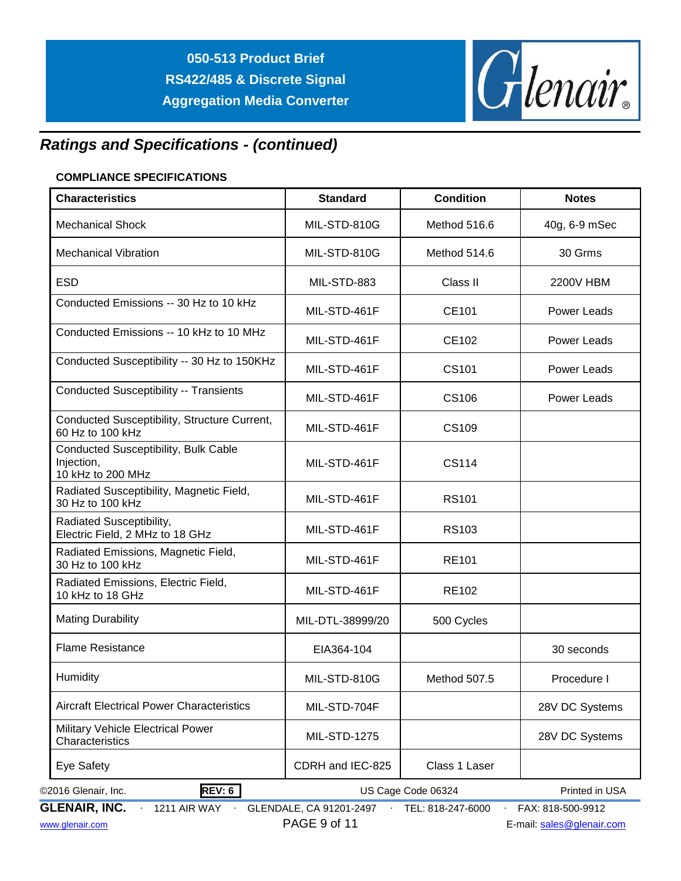

# *Ratings and Specifications - (continued)*

#### **COMPLIANCE SPECIFICATIONS**

| <b>Characteristics</b>                                                  | <b>Standard</b>         | <b>Condition</b>   | <b>Notes</b>       |  |  |
|-------------------------------------------------------------------------|-------------------------|--------------------|--------------------|--|--|
| <b>Mechanical Shock</b>                                                 | MIL-STD-810G            | Method 516.6       | 40g, 6-9 mSec      |  |  |
| <b>Mechanical Vibration</b>                                             | MIL-STD-810G            | Method 514.6       | 30 Grms            |  |  |
| <b>ESD</b>                                                              | MIL-STD-883             | Class II           | 2200V HBM          |  |  |
| Conducted Emissions -- 30 Hz to 10 kHz                                  | MIL-STD-461F            | CE101              | Power Leads        |  |  |
| Conducted Emissions -- 10 kHz to 10 MHz                                 | MIL-STD-461F            | CE102              | Power Leads        |  |  |
| Conducted Susceptibility -- 30 Hz to 150KHz                             | MIL-STD-461F            | CS <sub>101</sub>  | <b>Power Leads</b> |  |  |
| <b>Conducted Susceptibility -- Transients</b>                           | MIL-STD-461F            | CS106              | Power Leads        |  |  |
| Conducted Susceptibility, Structure Current,<br>60 Hz to 100 kHz        | MIL-STD-461F            | <b>CS109</b>       |                    |  |  |
| Conducted Susceptibility, Bulk Cable<br>Injection,<br>10 kHz to 200 MHz | MIL-STD-461F            | <b>CS114</b>       |                    |  |  |
| Radiated Susceptibility, Magnetic Field,<br>30 Hz to 100 kHz            | MIL-STD-461F            | <b>RS101</b>       |                    |  |  |
| Radiated Susceptibility,<br>Electric Field, 2 MHz to 18 GHz             | MIL-STD-461F            | <b>RS103</b>       |                    |  |  |
| Radiated Emissions, Magnetic Field,<br>30 Hz to 100 kHz                 | MIL-STD-461F            | <b>RE101</b>       |                    |  |  |
| Radiated Emissions, Electric Field,<br>10 kHz to 18 GHz                 | MIL-STD-461F            | <b>RE102</b>       |                    |  |  |
| <b>Mating Durability</b>                                                | MIL-DTL-38999/20        | 500 Cycles         |                    |  |  |
| <b>Flame Resistance</b>                                                 | EIA364-104              |                    | 30 seconds         |  |  |
| <b>Humidity</b>                                                         | MIL-STD-810G            | Method 507.5       | Procedure I        |  |  |
| <b>Aircraft Electrical Power Characteristics</b>                        | MIL-STD-704F            |                    | 28V DC Systems     |  |  |
| Military Vehicle Electrical Power<br>Characteristics                    | <b>MIL-STD-1275</b>     |                    | 28V DC Systems     |  |  |
| Eye Safety                                                              | CDRH and IEC-825        | Class 1 Laser      |                    |  |  |
| REV: 6<br>©2016 Glenair, Inc.                                           |                         | US Cage Code 06324 | Printed in USA     |  |  |
| <b>GLENAIR, INC.</b><br>1211 AIR WAY                                    | GLENDALE, CA 91201-2497 | TEL: 818-247-6000  | FAX: 818-500-9912  |  |  |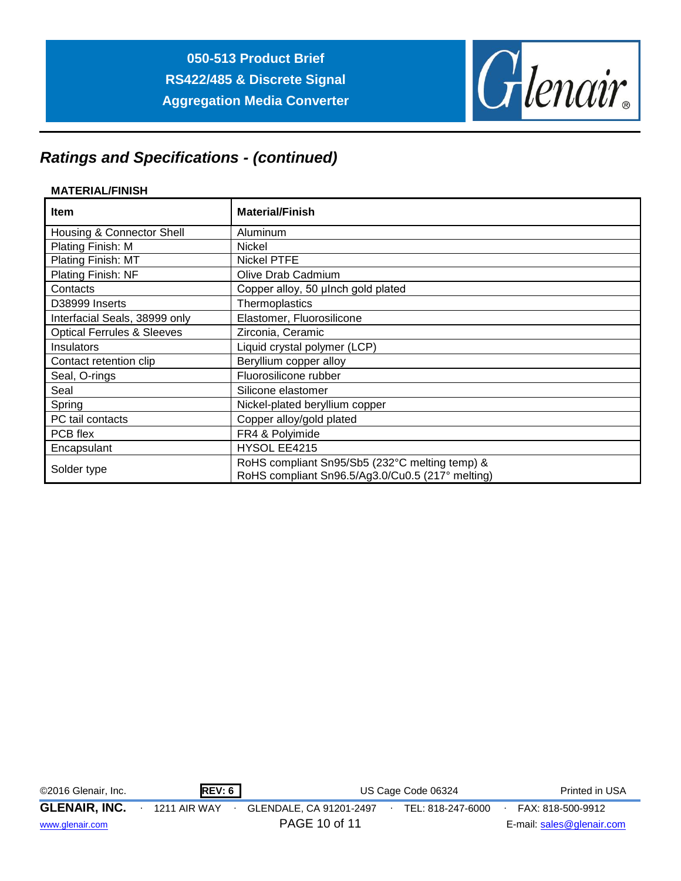

# *Ratings and Specifications - (continued)*

#### **MATERIAL/FINISH**

| <b>Item</b>                           | <b>Material/Finish</b>                                                                             |
|---------------------------------------|----------------------------------------------------------------------------------------------------|
| Housing & Connector Shell             | Aluminum                                                                                           |
| Plating Finish: M                     | Nickel                                                                                             |
| Plating Finish: MT                    | <b>Nickel PTFE</b>                                                                                 |
| Plating Finish: NF                    | Olive Drab Cadmium                                                                                 |
| Contacts                              | Copper alloy, 50 µlnch gold plated                                                                 |
| D38999 Inserts                        | Thermoplastics                                                                                     |
| Interfacial Seals, 38999 only         | Elastomer, Fluorosilicone                                                                          |
| <b>Optical Ferrules &amp; Sleeves</b> | Zirconia, Ceramic                                                                                  |
| <b>Insulators</b>                     | Liquid crystal polymer (LCP)                                                                       |
| Contact retention clip                | Beryllium copper alloy                                                                             |
| Seal, O-rings                         | Fluorosilicone rubber                                                                              |
| Seal                                  | Silicone elastomer                                                                                 |
| Spring                                | Nickel-plated beryllium copper                                                                     |
| PC tail contacts                      | Copper alloy/gold plated                                                                           |
| PCB flex                              | FR4 & Polyimide                                                                                    |
| Encapsulant                           | HYSOL EE4215                                                                                       |
| Solder type                           | RoHS compliant Sn95/Sb5 (232°C melting temp) &<br>RoHS compliant Sn96.5/Ag3.0/Cu0.5 (217° melting) |

| ©2016 Glenair, Inc.  | <b>REV: 6</b> | US Cage Code 06324      | Printed in USA    |                           |
|----------------------|---------------|-------------------------|-------------------|---------------------------|
| <b>GLENAIR, INC.</b> | 1211 AIR WAY  | GLENDALE, CA 91201-2497 | TEL: 818-247-6000 | FAX: 818-500-9912         |
| www.glenair.com      |               | PAGE 10 of 11           |                   | E-mail: sales@glenair.com |